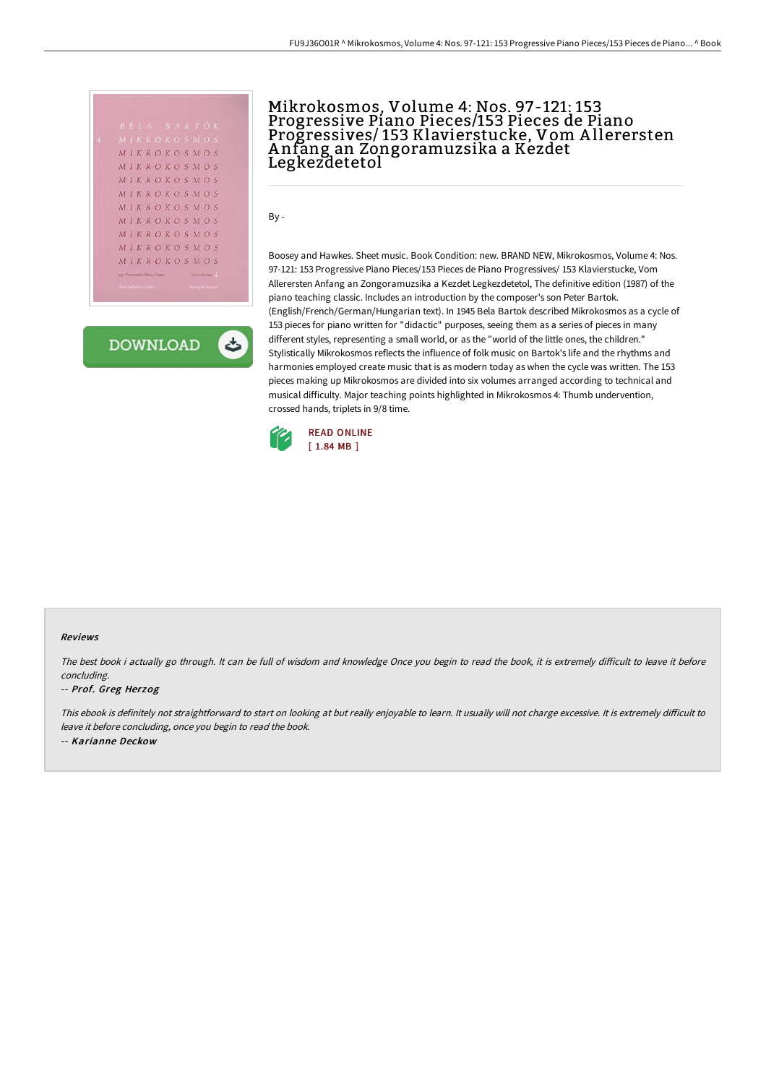|  |                                      |  |  |  |                 |                          | BÉLA BARTÓK        |  |  |
|--|--------------------------------------|--|--|--|-----------------|--------------------------|--------------------|--|--|
|  |                                      |  |  |  |                 |                          | MIKROKOSMOS        |  |  |
|  |                                      |  |  |  |                 |                          | MIKROKOSMOS        |  |  |
|  |                                      |  |  |  |                 |                          | MIKROKOSMOS        |  |  |
|  |                                      |  |  |  |                 |                          | MIKROKOSMOS        |  |  |
|  |                                      |  |  |  |                 |                          | MIKROKOSMOS        |  |  |
|  |                                      |  |  |  |                 |                          | MIKROKOSMOS        |  |  |
|  |                                      |  |  |  |                 |                          | <b>MIKROKOSMOS</b> |  |  |
|  |                                      |  |  |  |                 |                          | MIKROKOSMOS        |  |  |
|  |                                      |  |  |  |                 |                          | MIKROKOSMOS        |  |  |
|  |                                      |  |  |  |                 |                          | MIKROKOSMOS        |  |  |
|  | <b>XXX Progressive Plants Pieces</b> |  |  |  | In 6 rolumes 22 |                          |                    |  |  |
|  | New Definitive Edmon                 |  |  |  |                 | <b>Basica in Hauston</b> |                    |  |  |

**DOWNLOAD** ٹ

## Mikrokosmos, Volume 4: Nos. 97-121: 153 Progressive Piano Pieces/153 Pieces de Piano Progressives/ 153 Klavierstucke, Vom A llerersten A nfang an Zongoramuzsika a Kezdet Legkezdetetol

By -

Boosey and Hawkes. Sheet music. Book Condition: new. BRAND NEW, Mikrokosmos, Volume 4: Nos. 97-121: 153 Progressive Piano Pieces/153 Pieces de Piano Progressives/ 153 Klavierstucke, Vom Allerersten Anfang an Zongoramuzsika a Kezdet Legkezdetetol, The definitive edition (1987) of the piano teaching classic. Includes an introduction by the composer's son Peter Bartok. (English/French/German/Hungarian text). In 1945 Bela Bartok described Mikrokosmos as a cycle of 153 pieces for piano written for "didactic" purposes, seeing them as a series of pieces in many different styles, representing a small world, or as the "world of the little ones, the children." Stylistically Mikrokosmos reflects the influence of folk music on Bartok's life and the rhythms and harmonies employed create music that is as modern today as when the cycle was written. The 153 pieces making up Mikrokosmos are divided into six volumes arranged according to technical and musical difficulty. Major teaching points highlighted in Mikrokosmos 4: Thumb undervention, crossed hands, triplets in 9/8 time.



## Reviews

The best book i actually go through. It can be full of wisdom and knowledge Once you begin to read the book, it is extremely difficult to leave it before concluding.

## -- Prof. Greg Herzog

This ebook is definitely not straightforward to start on looking at but really enjoyable to learn. It usually will not charge excessive. It is extremely difficult to leave it before concluding, once you begin to read the book. -- Karianne Deckow